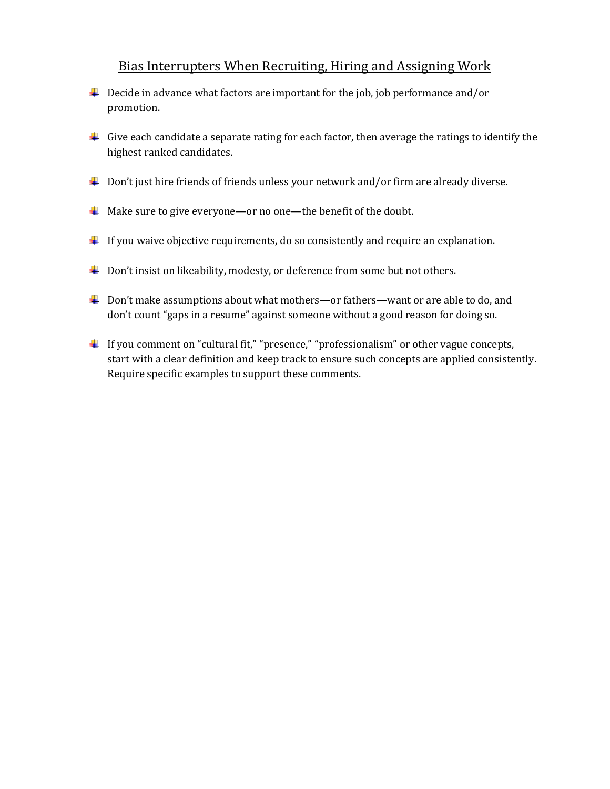## Bias Interrupters When Recruiting, Hiring and Assigning Work

- $\ddot{\phantom{1}}$  Decide in advance what factors are important for the job, job performance and/or promotion.
- Give each candidate a separate rating for each factor, then average the ratings to identify the highest ranked candidates.
- $\downarrow$  Don't just hire friends of friends unless your network and/or firm are already diverse.
- A Make sure to give everyone—or no one—the benefit of the doubt.
- $\downarrow$  If you waive objective requirements, do so consistently and require an explanation.
- $\ddot{\bullet}$  Don't insist on likeability, modesty, or deference from some but not others.
- ↓ Don't make assumptions about what mothers—or fathers—want or are able to do, and don't count "gaps in a resume" against someone without a good reason for doing so.
- If you comment on "cultural fit," "presence," "professionalism" or other vague concepts, start with a clear definition and keep track to ensure such concepts are applied consistently. Require specific examples to support these comments.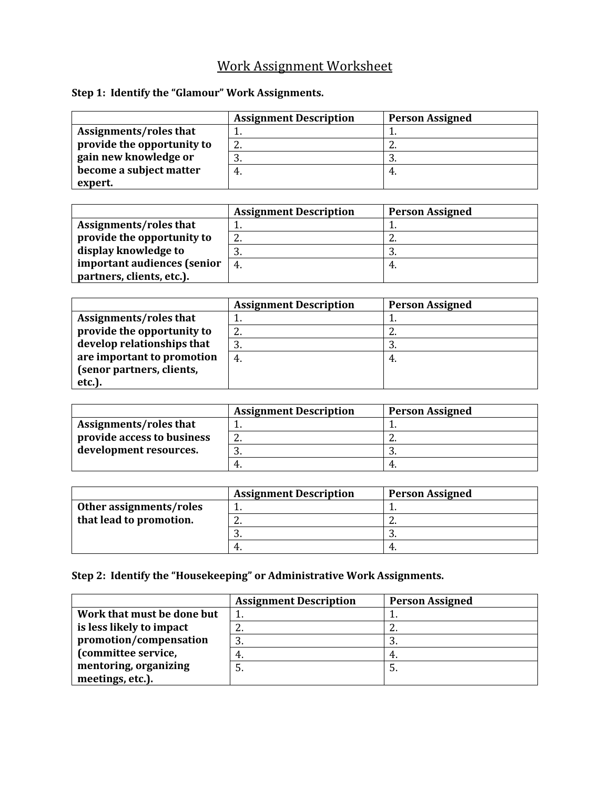## Work Assignment Worksheet

## **Step 1: Identify the "Glamour" Work Assignments.**

|                            | <b>Assignment Description</b> | <b>Person Assigned</b> |
|----------------------------|-------------------------------|------------------------|
| Assignments/roles that     |                               |                        |
| provide the opportunity to | 2.                            | <u>.</u>               |
| gain new knowledge or      | 3.                            |                        |
| become a subject matter    | -4.                           |                        |
| expert.                    |                               |                        |

|                             | <b>Assignment Description</b> | <b>Person Assigned</b> |
|-----------------------------|-------------------------------|------------------------|
| Assignments/roles that      |                               |                        |
| provide the opportunity to  | ົ<br>Ζ.                       | <u>.</u>               |
| display knowledge to        |                               |                        |
| important audiences (senior | 4.                            |                        |
| partners, clients, etc.).   |                               |                        |

|                            | <b>Assignment Description</b> | <b>Person Assigned</b> |
|----------------------------|-------------------------------|------------------------|
| Assignments/roles that     |                               |                        |
| provide the opportunity to | 2.                            | <u>.</u>               |
| develop relationships that | 3.                            | -3.                    |
| are important to promotion | -4.                           | -4.                    |
| (senor partners, clients,  |                               |                        |
| etc.).                     |                               |                        |

|                            | <b>Assignment Description</b> | <b>Person Assigned</b> |
|----------------------------|-------------------------------|------------------------|
| Assignments/roles that     |                               |                        |
| provide access to business | <u>.</u>                      | <u>.</u>               |
| development resources.     | ັບ.                           |                        |
|                            | 4.                            |                        |

|                         | <b>Assignment Description</b> | <b>Person Assigned</b> |
|-------------------------|-------------------------------|------------------------|
| Other assignments/roles |                               |                        |
| that lead to promotion. | <u>.</u>                      | <u>.</u>               |
|                         | ات                            |                        |
|                         | 4.                            |                        |

## **Step 2: Identify the "Housekeeping" or Administrative Work Assignments.**

|                            | <b>Assignment Description</b> | <b>Person Assigned</b> |
|----------------------------|-------------------------------|------------------------|
| Work that must be done but |                               |                        |
| is less likely to impact   | <u>L.</u>                     | <u>.</u>               |
| promotion/compensation     | 3.                            | .ບ.                    |
| (committee service,        | 4.                            |                        |
| mentoring, organizing      | 5.                            | o.                     |
| meetings, etc.).           |                               |                        |